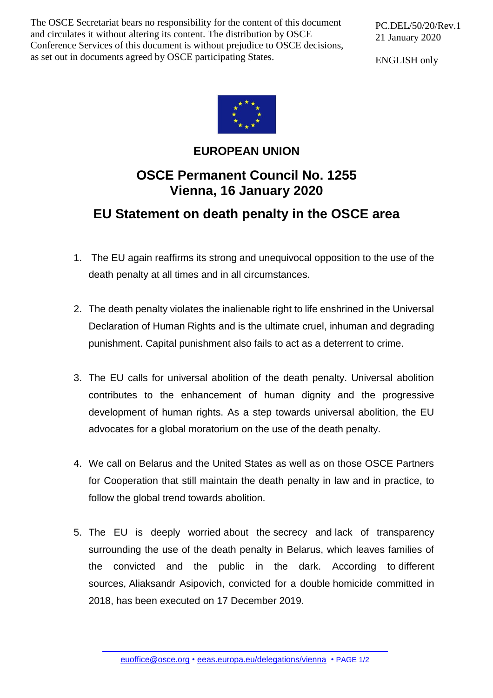The OSCE Secretariat bears no responsibility for the content of this document and circulates it without altering its content. The distribution by OSCE Conference Services of this document is without prejudice to OSCE decisions, as set out in documents agreed by OSCE participating States.

PC.DEL/50/20/Rev.1 21 January 2020

ENGLISH only



## **EUROPEAN UNION**

## **OSCE Permanent Council No. 1255 Vienna, 16 January 2020**

## **EU Statement on death penalty in the OSCE area**

- 1. The EU again reaffirms its strong and unequivocal opposition to the use of the death penalty at all times and in all circumstances.
- 2. The death penalty violates the inalienable right to life enshrined in the Universal Declaration of Human Rights and is the ultimate cruel, inhuman and degrading punishment. Capital punishment also fails to act as a deterrent to crime.
- 3. The EU calls for universal abolition of the death penalty. Universal abolition contributes to the enhancement of human dignity and the progressive development of human rights. As a step towards universal abolition, the EU advocates for a global moratorium on the use of the death penalty.
- 4. We call on Belarus and the United States as well as on those OSCE Partners for Cooperation that still maintain the death penalty in law and in practice, to follow the global trend towards abolition.
- 5. The EU is deeply worried about the secrecy and lack of transparency surrounding the use of the death penalty in Belarus, which leaves families of the convicted and the public in the dark. According to different sources, Aliaksandr Asipovich, convicted for a double homicide committed in 2018, has been executed on 17 December 2019.